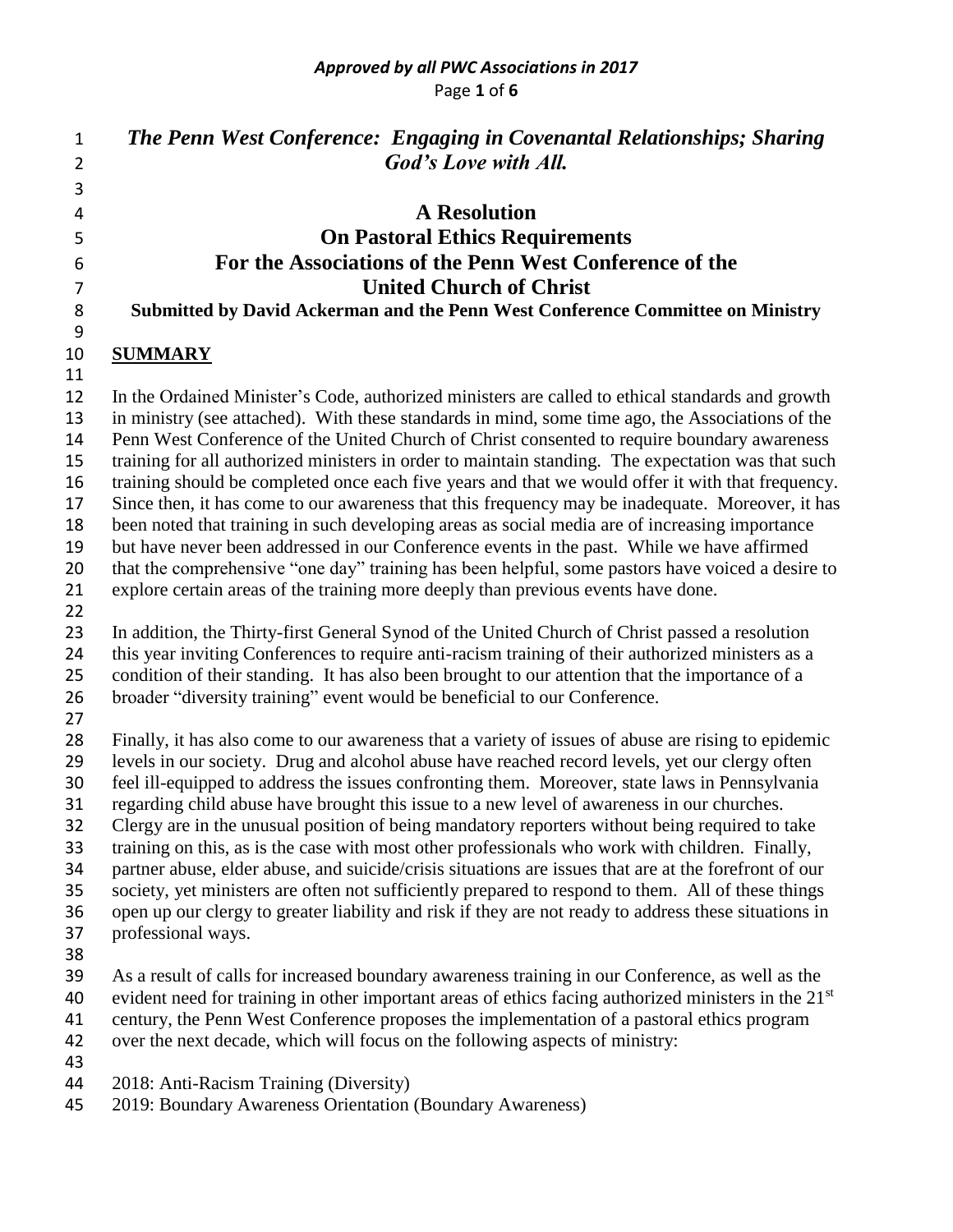## *Approved by all PWC Associations in 2017* Page **1** of **6**

| $\mathbf{1}$   | The Penn West Conference: Engaging in Covenantal Relationships; Sharing                                                                                                                                  |
|----------------|----------------------------------------------------------------------------------------------------------------------------------------------------------------------------------------------------------|
| $\overline{2}$ | God's Love with All.                                                                                                                                                                                     |
| 3              |                                                                                                                                                                                                          |
| 4              | <b>A</b> Resolution                                                                                                                                                                                      |
| 5              | <b>On Pastoral Ethics Requirements</b>                                                                                                                                                                   |
| 6              | For the Associations of the Penn West Conference of the                                                                                                                                                  |
| 7              | <b>United Church of Christ</b>                                                                                                                                                                           |
| 8              | Submitted by David Ackerman and the Penn West Conference Committee on Ministry                                                                                                                           |
| 9              |                                                                                                                                                                                                          |
| 10             | <b>SUMMARY</b>                                                                                                                                                                                           |
| 11             |                                                                                                                                                                                                          |
| 12             | In the Ordained Minister's Code, authorized ministers are called to ethical standards and growth                                                                                                         |
| 13             | in ministry (see attached). With these standards in mind, some time ago, the Associations of the                                                                                                         |
| 14             | Penn West Conference of the United Church of Christ consented to require boundary awareness                                                                                                              |
| 15             | training for all authorized ministers in order to maintain standing. The expectation was that such                                                                                                       |
| 16             | training should be completed once each five years and that we would offer it with that frequency.                                                                                                        |
| 17             | Since then, it has come to our awareness that this frequency may be inadequate. Moreover, it has                                                                                                         |
| 18<br>19       | been noted that training in such developing areas as social media are of increasing importance<br>but have never been addressed in our Conference events in the past. While we have affirmed             |
| 20             | that the comprehensive "one day" training has been helpful, some pastors have voiced a desire to                                                                                                         |
| 21             | explore certain areas of the training more deeply than previous events have done.                                                                                                                        |
| 22             |                                                                                                                                                                                                          |
| 23             | In addition, the Thirty-first General Synod of the United Church of Christ passed a resolution                                                                                                           |
| 24             | this year inviting Conferences to require anti-racism training of their authorized ministers as a                                                                                                        |
| 25             | condition of their standing. It has also been brought to our attention that the importance of a                                                                                                          |
| 26             | broader "diversity training" event would be beneficial to our Conference.                                                                                                                                |
| 27             |                                                                                                                                                                                                          |
| 28             | Finally, it has also come to our awareness that a variety of issues of abuse are rising to epidemic                                                                                                      |
| 29             | levels in our society. Drug and alcohol abuse have reached record levels, yet our clergy often                                                                                                           |
| 30             | feel ill-equipped to address the issues confronting them. Moreover, state laws in Pennsylvania                                                                                                           |
| 31             | regarding child abuse have brought this issue to a new level of awareness in our churches.                                                                                                               |
| 32             | Clergy are in the unusual position of being mandatory reporters without being required to take                                                                                                           |
| 33<br>34       | training on this, as is the case with most other professionals who work with children. Finally,<br>partner abuse, elder abuse, and suicide/crisis situations are issues that are at the forefront of our |
| 35             | society, yet ministers are often not sufficiently prepared to respond to them. All of these things                                                                                                       |
| 36             | open up our clergy to greater liability and risk if they are not ready to address these situations in                                                                                                    |
| 37             | professional ways.                                                                                                                                                                                       |
| 38             |                                                                                                                                                                                                          |
| 39             | As a result of calls for increased boundary awareness training in our Conference, as well as the                                                                                                         |
| 40             | evident need for training in other important areas of ethics facing authorized ministers in the 21 <sup>st</sup>                                                                                         |
| 41             | century, the Penn West Conference proposes the implementation of a pastoral ethics program                                                                                                               |
| 42             | over the next decade, which will focus on the following aspects of ministry:                                                                                                                             |
| 43             |                                                                                                                                                                                                          |
| 44             | 2018: Anti-Racism Training (Diversity)                                                                                                                                                                   |
| 45             | 2019: Boundary Awareness Orientation (Boundary Awareness)                                                                                                                                                |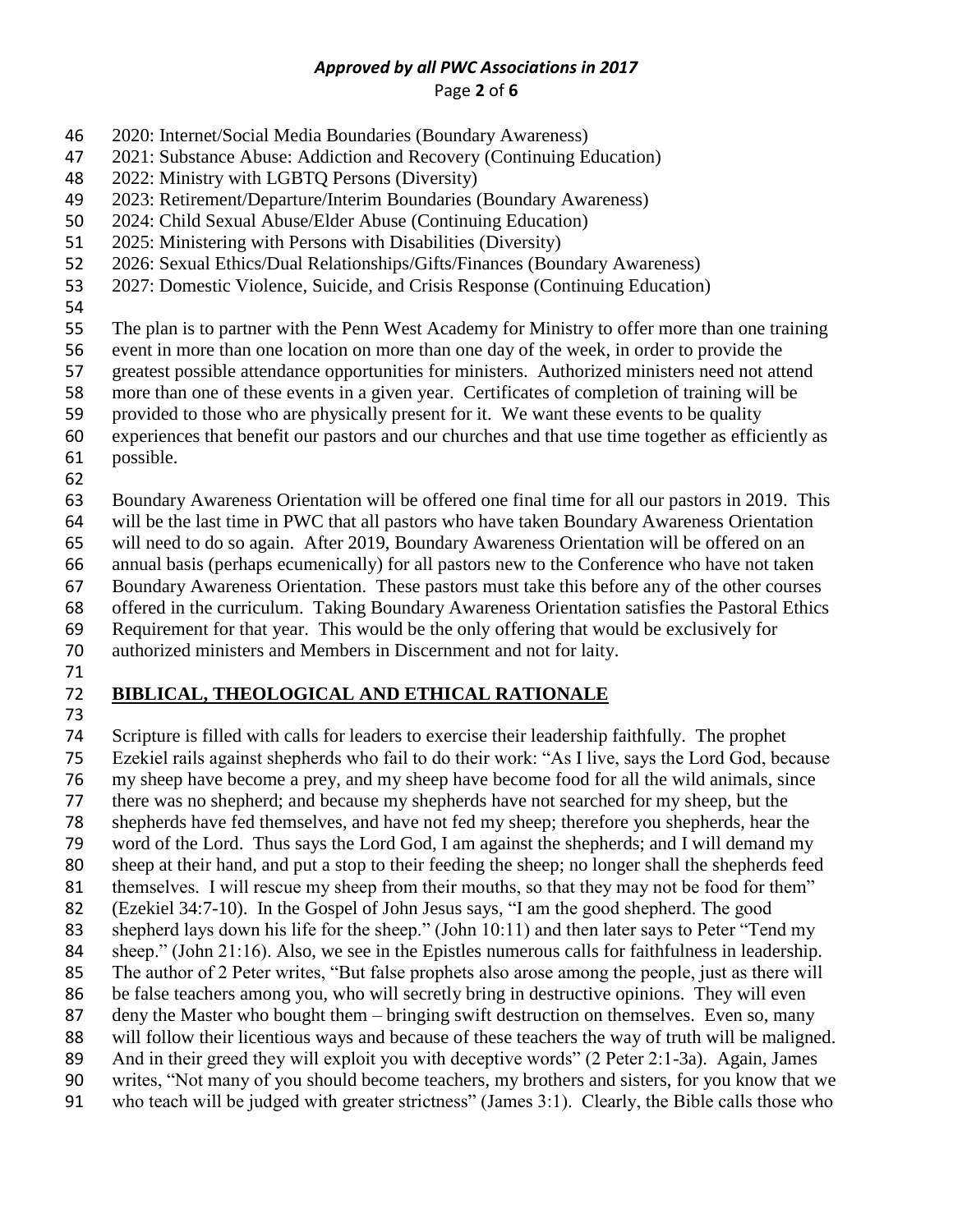#### *Approved by all PWC Associations in 2017* Page **2** of **6**

- 2020: Internet/Social Media Boundaries (Boundary Awareness)
- 2021: Substance Abuse: Addiction and Recovery (Continuing Education)
- 2022: Ministry with LGBTQ Persons (Diversity)
- 2023: Retirement/Departure/Interim Boundaries (Boundary Awareness)
- 2024: Child Sexual Abuse/Elder Abuse (Continuing Education)
- 2025: Ministering with Persons with Disabilities (Diversity)
- 2026: Sexual Ethics/Dual Relationships/Gifts/Finances (Boundary Awareness)
- 2027: Domestic Violence, Suicide, and Crisis Response (Continuing Education)
- 
- The plan is to partner with the Penn West Academy for Ministry to offer more than one training
- event in more than one location on more than one day of the week, in order to provide the
- greatest possible attendance opportunities for ministers. Authorized ministers need not attend
- more than one of these events in a given year. Certificates of completion of training will be
- provided to those who are physically present for it. We want these events to be quality
- experiences that benefit our pastors and our churches and that use time together as efficiently as possible.
- 
- 

Boundary Awareness Orientation will be offered one final time for all our pastors in 2019. This

will be the last time in PWC that all pastors who have taken Boundary Awareness Orientation

- will need to do so again. After 2019, Boundary Awareness Orientation will be offered on an
- annual basis (perhaps ecumenically) for all pastors new to the Conference who have not taken
- Boundary Awareness Orientation. These pastors must take this before any of the other courses
- offered in the curriculum. Taking Boundary Awareness Orientation satisfies the Pastoral Ethics
- Requirement for that year. This would be the only offering that would be exclusively for
- authorized ministers and Members in Discernment and not for laity.
- 

## **BIBLICAL, THEOLOGICAL AND ETHICAL RATIONALE**

 Scripture is filled with calls for leaders to exercise their leadership faithfully. The prophet Ezekiel rails against shepherds who fail to do their work: "As I live, says the Lord God, because my sheep have become a prey, and my sheep have become food for all the wild animals, since there was no shepherd; and because my shepherds have not searched for my sheep, but the shepherds have fed themselves, and have not fed my sheep; therefore you shepherds, hear the word of the Lord. Thus says the Lord God, I am against the shepherds; and I will demand my sheep at their hand, and put a stop to their feeding the sheep; no longer shall the shepherds feed 81 themselves. I will rescue my sheep from their mouths, so that they may not be food for them" (Ezekiel 34:7-10). In the Gospel of John Jesus says, "I am the good shepherd. The good 83 shepherd lays down his life for the sheep." (John 10:11) and then later says to Peter "Tend my sheep." (John 21:16). Also, we see in the Epistles numerous calls for faithfulness in leadership. The author of 2 Peter writes, "But false prophets also arose among the people, just as there will be false teachers among you, who will secretly bring in destructive opinions. They will even deny the Master who bought them – bringing swift destruction on themselves. Even so, many will follow their licentious ways and because of these teachers the way of truth will be maligned. And in their greed they will exploit you with deceptive words" (2 Peter 2:1-3a). Again, James writes, "Not many of you should become teachers, my brothers and sisters, for you know that we who teach will be judged with greater strictness" (James 3:1). Clearly, the Bible calls those who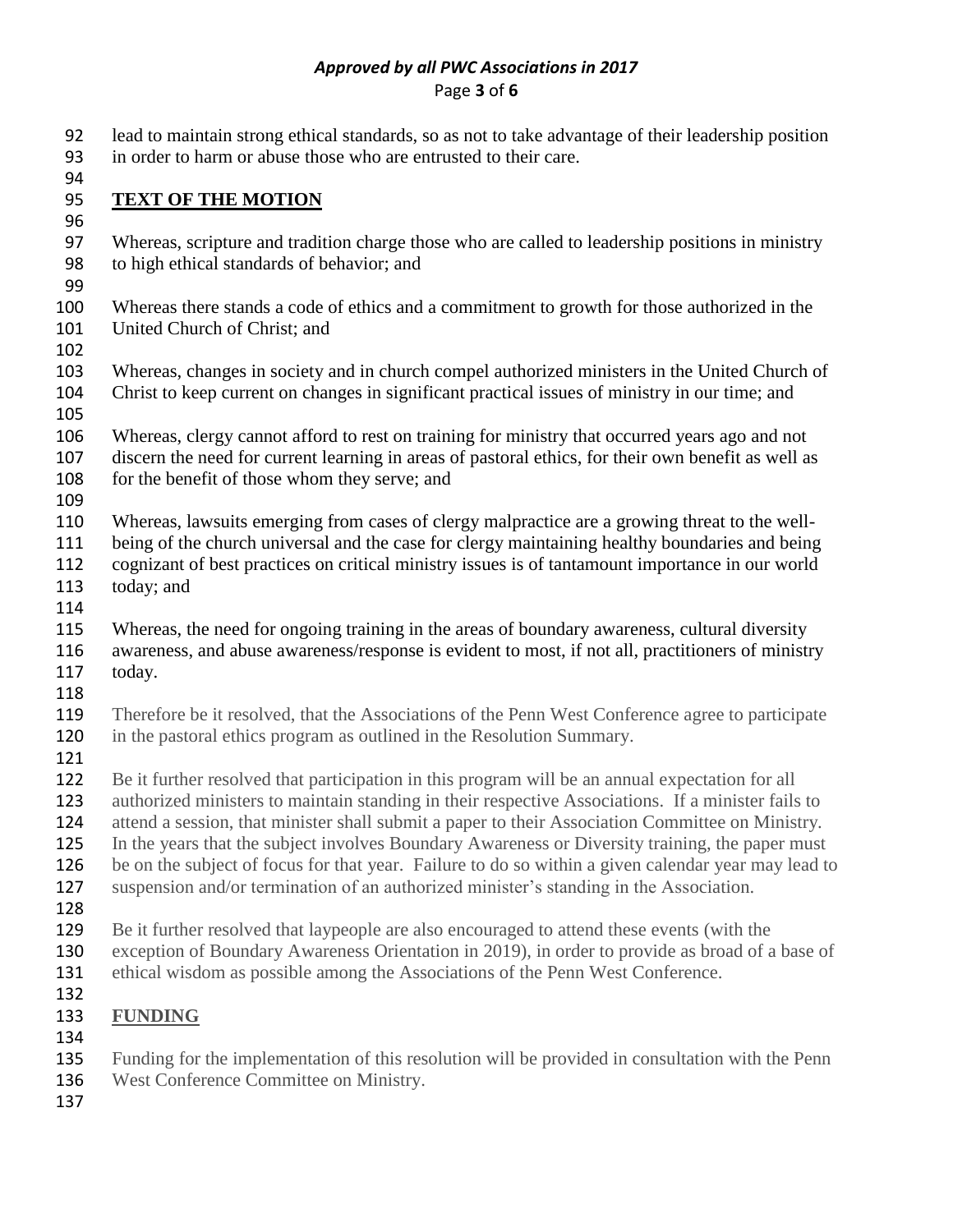#### *Approved by all PWC Associations in 2017* Page **3** of **6**

- lead to maintain strong ethical standards, so as not to take advantage of their leadership position in order to harm or abuse those who are entrusted to their care. **TEXT OF THE MOTION** Whereas, scripture and tradition charge those who are called to leadership positions in ministry to high ethical standards of behavior; and Whereas there stands a code of ethics and a commitment to growth for those authorized in the United Church of Christ; and Whereas, changes in society and in church compel authorized ministers in the United Church of Christ to keep current on changes in significant practical issues of ministry in our time; and Whereas, clergy cannot afford to rest on training for ministry that occurred years ago and not discern the need for current learning in areas of pastoral ethics, for their own benefit as well as 108 for the benefit of those whom they serve; and Whereas, lawsuits emerging from cases of clergy malpractice are a growing threat to the well- being of the church universal and the case for clergy maintaining healthy boundaries and being cognizant of best practices on critical ministry issues is of tantamount importance in our world today; and Whereas, the need for ongoing training in the areas of boundary awareness, cultural diversity awareness, and abuse awareness/response is evident to most, if not all, practitioners of ministry today. Therefore be it resolved, that the Associations of the Penn West Conference agree to participate 120 in the pastoral ethics program as outlined in the Resolution Summary. Be it further resolved that participation in this program will be an annual expectation for all authorized ministers to maintain standing in their respective Associations. If a minister fails to attend a session, that minister shall submit a paper to their Association Committee on Ministry. In the years that the subject involves Boundary Awareness or Diversity training, the paper must be on the subject of focus for that year. Failure to do so within a given calendar year may lead to 127 suspension and/or termination of an authorized minister's standing in the Association. Be it further resolved that laypeople are also encouraged to attend these events (with the exception of Boundary Awareness Orientation in 2019), in order to provide as broad of a base of ethical wisdom as possible among the Associations of the Penn West Conference. **FUNDING** Funding for the implementation of this resolution will be provided in consultation with the Penn West Conference Committee on Ministry.
-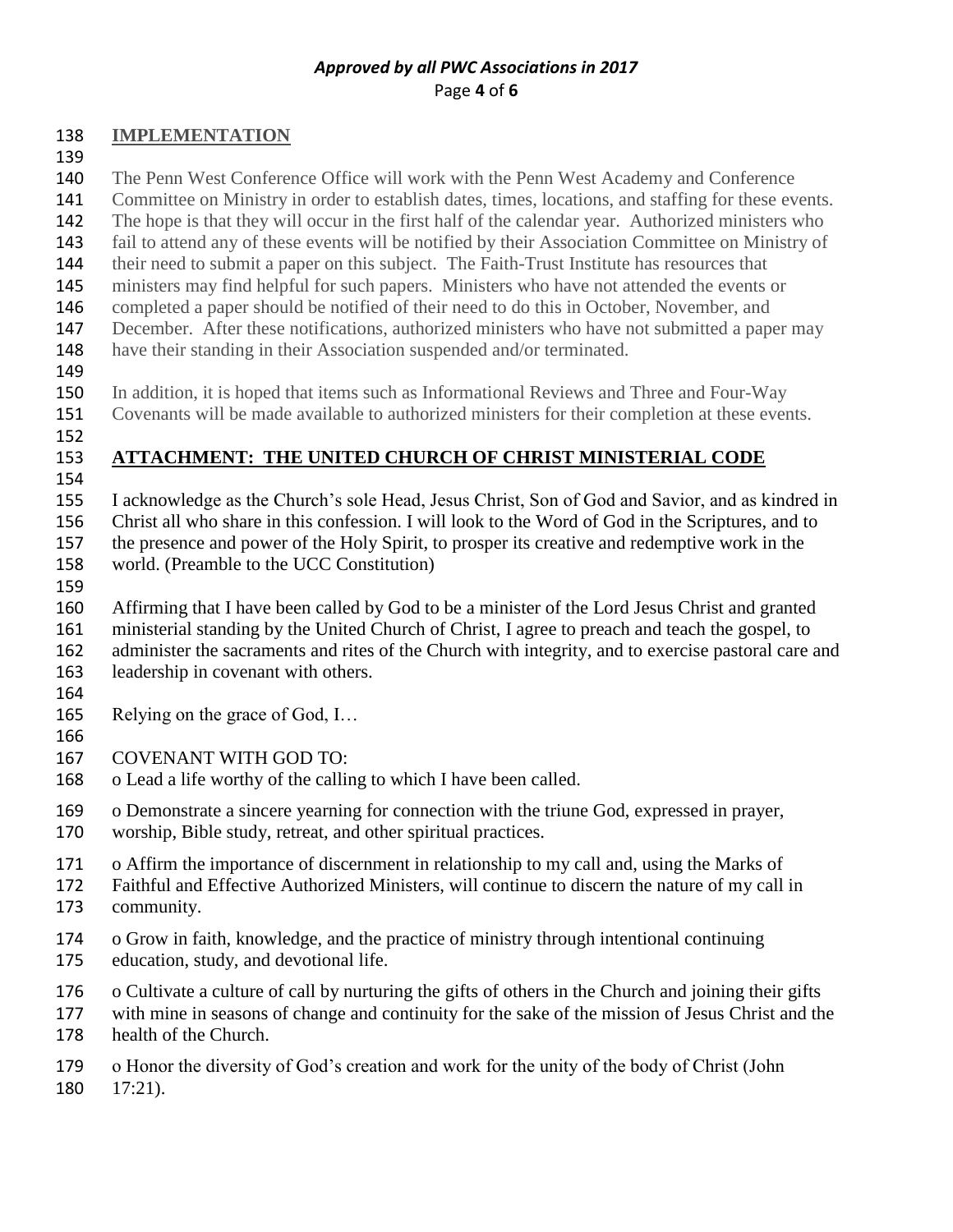### *Approved by all PWC Associations in 2017* Page **4** of **6**

#### **IMPLEMENTATION**

The Penn West Conference Office will work with the Penn West Academy and Conference

Committee on Ministry in order to establish dates, times, locations, and staffing for these events.

The hope is that they will occur in the first half of the calendar year. Authorized ministers who

fail to attend any of these events will be notified by their Association Committee on Ministry of

144 their need to submit a paper on this subject. The Faith-Trust Institute has resources that ministers may find helpful for such papers. Ministers who have not attended the events or

completed a paper should be notified of their need to do this in October, November, and

147 December. After these notifications, authorized ministers who have not submitted a paper may

148 have their standing in their Association suspended and/or terminated.

 In addition, it is hoped that items such as Informational Reviews and Three and Four-Way Covenants will be made available to authorized ministers for their completion at these events.

# **ATTACHMENT: THE UNITED CHURCH OF CHRIST MINISTERIAL CODE**

I acknowledge as the Church's sole Head, Jesus Christ, Son of God and Savior, and as kindred in

 Christ all who share in this confession. I will look to the Word of God in the Scriptures, and to the presence and power of the Holy Spirit, to prosper its creative and redemptive work in the

world. (Preamble to the UCC Constitution)

Affirming that I have been called by God to be a minister of the Lord Jesus Christ and granted

ministerial standing by the United Church of Christ, I agree to preach and teach the gospel, to

administer the sacraments and rites of the Church with integrity, and to exercise pastoral care and

- leadership in covenant with others.
- 

 Relying on the grace of God, I… 

- COVENANT WITH GOD TO:
- o Lead a life worthy of the calling to which I have been called.

o Demonstrate a sincere yearning for connection with the triune God, expressed in prayer,

worship, Bible study, retreat, and other spiritual practices.

o Affirm the importance of discernment in relationship to my call and, using the Marks of

 Faithful and Effective Authorized Ministers, will continue to discern the nature of my call in community.

- o Grow in faith, knowledge, and the practice of ministry through intentional continuing education, study, and devotional life.
- o Cultivate a culture of call by nurturing the gifts of others in the Church and joining their gifts

 with mine in seasons of change and continuity for the sake of the mission of Jesus Christ and the health of the Church.

 o Honor the diversity of God's creation and work for the unity of the body of Christ (John 17:21).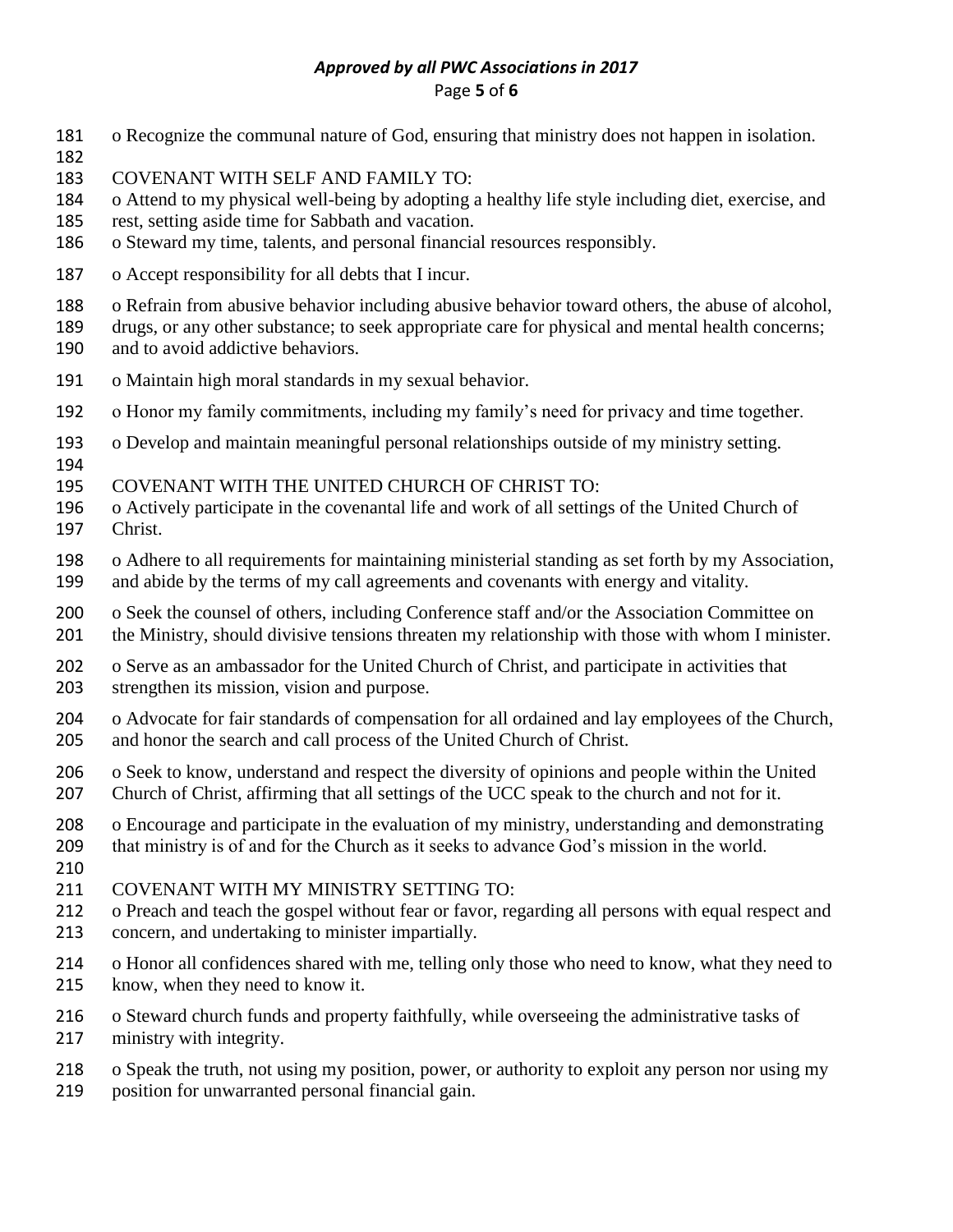### *Approved by all PWC Associations in 2017* Page **5** of **6**

- o Recognize the communal nature of God, ensuring that ministry does not happen in isolation.
- 
- COVENANT WITH SELF AND FAMILY TO:
- o Attend to my physical well-being by adopting a healthy life style including diet, exercise, and
- rest, setting aside time for Sabbath and vacation.
- o Steward my time, talents, and personal financial resources responsibly.
- o Accept responsibility for all debts that I incur.
- o Refrain from abusive behavior including abusive behavior toward others, the abuse of alcohol,
- drugs, or any other substance; to seek appropriate care for physical and mental health concerns; and to avoid addictive behaviors.
- o Maintain high moral standards in my sexual behavior.
- o Honor my family commitments, including my family's need for privacy and time together.
- o Develop and maintain meaningful personal relationships outside of my ministry setting.
- COVENANT WITH THE UNITED CHURCH OF CHRIST TO:
- o Actively participate in the covenantal life and work of all settings of the United Church of Christ.
- o Adhere to all requirements for maintaining ministerial standing as set forth by my Association, and abide by the terms of my call agreements and covenants with energy and vitality.
- o Seek the counsel of others, including Conference staff and/or the Association Committee on the Ministry, should divisive tensions threaten my relationship with those with whom I minister.
- o Serve as an ambassador for the United Church of Christ, and participate in activities that strengthen its mission, vision and purpose.
- o Advocate for fair standards of compensation for all ordained and lay employees of the Church, and honor the search and call process of the United Church of Christ.
- o Seek to know, understand and respect the diversity of opinions and people within the United Church of Christ, affirming that all settings of the UCC speak to the church and not for it.
- o Encourage and participate in the evaluation of my ministry, understanding and demonstrating that ministry is of and for the Church as it seeks to advance God's mission in the world.
- COVENANT WITH MY MINISTRY SETTING TO:
- o Preach and teach the gospel without fear or favor, regarding all persons with equal respect and concern, and undertaking to minister impartially.
- o Honor all confidences shared with me, telling only those who need to know, what they need to know, when they need to know it.
- o Steward church funds and property faithfully, while overseeing the administrative tasks of ministry with integrity.
- o Speak the truth, not using my position, power, or authority to exploit any person nor using my
- position for unwarranted personal financial gain.